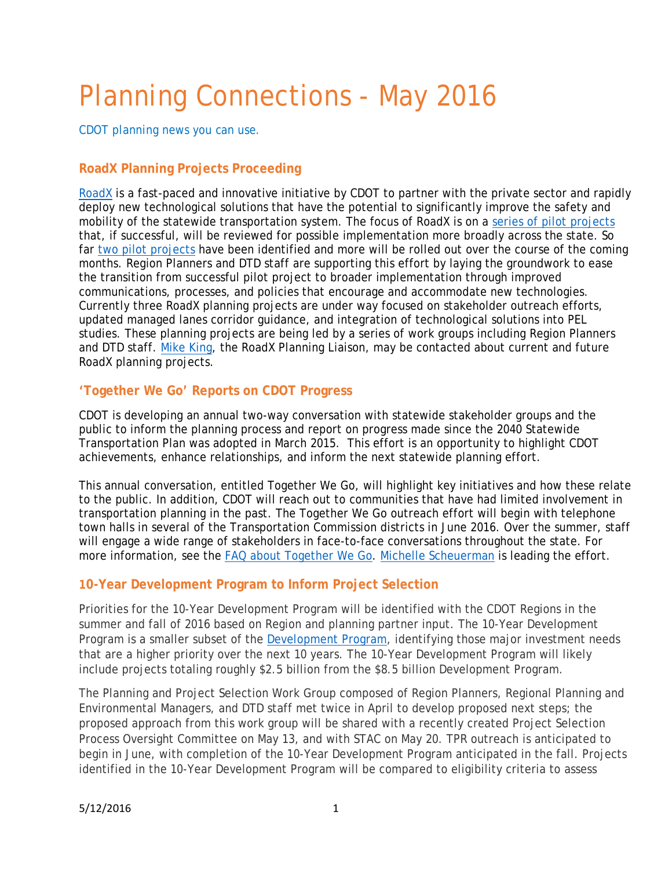# Planning Connections - May 2016

*CDOT planning news you can use.*

### **RoadX Planning Projects Proceeding**

RoadX is a fast-paced and innovative initiative by CDOT to partner with the private sector and rapidly deploy new technological solutions that have the potential to significantly improve the safety and mobility of the statewide transportation system. The focus of RoadX is on a series of pilot projects that, if successful, will be reviewed for possible implementation more broadly across the state. So far two pilot projects have been identified and more will be rolled out over the course of the coming months. Region Planners and DTD staff are supporting this effort by laying the groundwork to ease the transition from successful pilot project to broader implementation through improved communications, processes, and policies that encourage and accommodate new technologies. Currently three RoadX planning projects are under way focused on stakeholder outreach efforts, updated managed lanes corridor guidance, and integration of technological solutions into PEL studies. These planning projects are being led by a series of work groups including Region Planners and DTD staff. Mike King, the RoadX Planning Liaison, may be contacted about current and future RoadX planning projects.

#### **'Together We Go' Reports on CDOT Progress**

CDOT is developing an annual two-way conversation with statewide stakeholder groups and the public to inform the planning process and report on progress made since the 2040 Statewide Transportation Plan was adopted in March 2015. This effort is an opportunity to highlight CDOT achievements, enhance relationships, and inform the next statewide planning effort.

This annual conversation, entitled Together We Go, will highlight key initiatives and how these relate to the public. In addition, CDOT will reach out to communities that have had limited involvement in transportation planning in the past. The Together We Go outreach effort will begin with telephone town halls in several of the Transportation Commission districts in June 2016. Over the summer, staff will engage a wide range of stakeholders in face-to-face conversations throughout the state. For more information, see the FAQ about Together We Go. Michelle Scheuerman is leading the effort.

#### **10-Year Development Program to Inform Project Selection**

Priorities for the 10-Year Development Program will be identified with the CDOT Regions in the summer and fall of 2016 based on Region and planning partner input. The 10-Year Development Program is a smaller subset of the **Development Program**, identifying those major investment needs that are a higher priority over the next 10 years. The 10-Year Development Program will likely include projects totaling roughly \$2.5 billion from the \$8.5 billion Development Program.

The Planning and Project Selection Work Group composed of Region Planners, Regional Planning and Environmental Managers, and DTD staff met twice in April to develop proposed next steps; the proposed approach from this work group will be shared with a recently created Project Selection Process Oversight Committee on May 13, and with STAC on May 20. TPR outreach is anticipated to begin in June, with completion of the 10-Year Development Program anticipated in the fall. Projects identified in the 10-Year Development Program will be compared to eligibility criteria to assess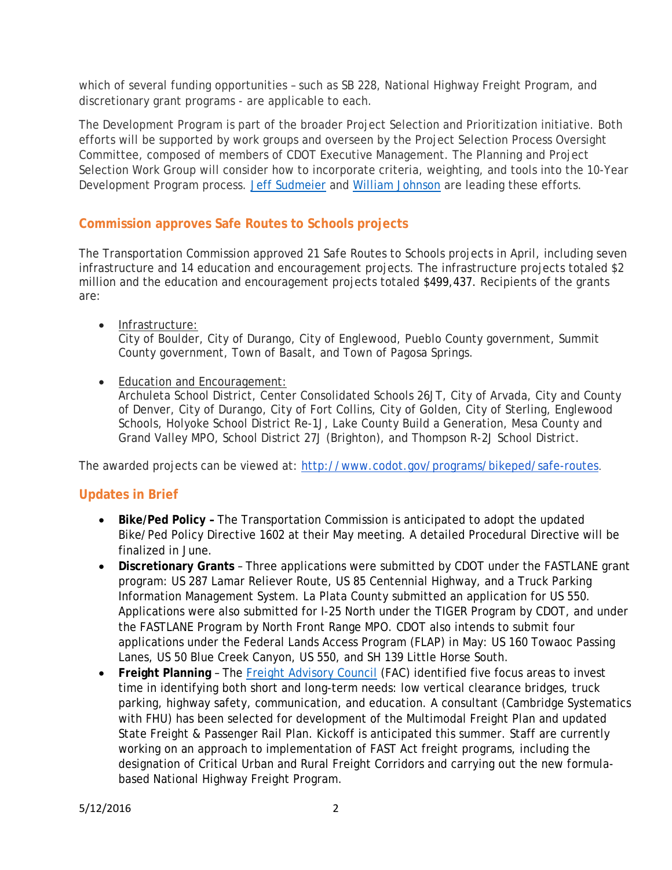which of several funding opportunities – such as SB 228, National Highway Freight Program, and discretionary grant programs - are applicable to each.

The Development Program is part of the broader Project Selection and Prioritization initiative. Both efforts will be supported by work groups and overseen by the Project Selection Process Oversight Committee, composed of members of CDOT Executive Management. The Planning and Project Selection Work Group will consider how to incorporate criteria, weighting, and tools into the 10-Year Development Program process. Jeff Sudmeier and William Johnson are leading these efforts.

# **Commission approves Safe Routes to Schools projects**

The Transportation Commission approved 21 Safe Routes to Schools projects in April, including seven infrastructure and 14 education and encouragement projects. The infrastructure projects totaled \$2 million and the education and encouragement projects totaled \$499,437. Recipients of the grants are:

- Infrastructure: City of Boulder, City of Durango, City of Englewood, Pueblo County government, Summit County government, Town of Basalt, and Town of Pagosa Springs.
- Education and Encouragement:

Archuleta School District, Center Consolidated Schools 26JT, City of Arvada, City and County of Denver, City of Durango, City of Fort Collins, City of Golden, City of Sterling, Englewood Schools, Holyoke School District Re-1J, Lake County Build a Generation, Mesa County and Grand Valley MPO, School District 27J (Brighton), and Thompson R-2J School District.

The awarded projects can be viewed at: http://www.codot.gov/programs/bikeped/safe-routes.

# **Updates in Brief**

- **Bike/Ped Policy** The Transportation Commission is anticipated to adopt the updated Bike/Ped Policy Directive 1602 at their May meeting. A detailed Procedural Directive will be finalized in June.
- **Discretionary Grants** Three applications were submitted by CDOT under the FASTLANE grant program: US 287 Lamar Reliever Route, US 85 Centennial Highway, and a Truck Parking Information Management System. La Plata County submitted an application for US 550. Applications were also submitted for I-25 North under the TIGER Program by CDOT, and under the FASTLANE Program by North Front Range MPO. CDOT also intends to submit four applications under the Federal Lands Access Program (FLAP) in May: US 160 Towaoc Passing Lanes, US 50 Blue Creek Canyon, US 550, and SH 139 Little Horse South.
- **Freight Planning** The Freight Advisory Council (FAC) identified five focus areas to invest time in identifying both short and long-term needs: low vertical clearance bridges, truck parking, highway safety, communication, and education. A consultant (Cambridge Systematics with FHU) has been selected for development of the Multimodal Freight Plan and updated State Freight & Passenger Rail Plan. Kickoff is anticipated this summer. Staff are currently working on an approach to implementation of FAST Act freight programs, including the designation of Critical Urban and Rural Freight Corridors and carrying out the new formulabased National Highway Freight Program.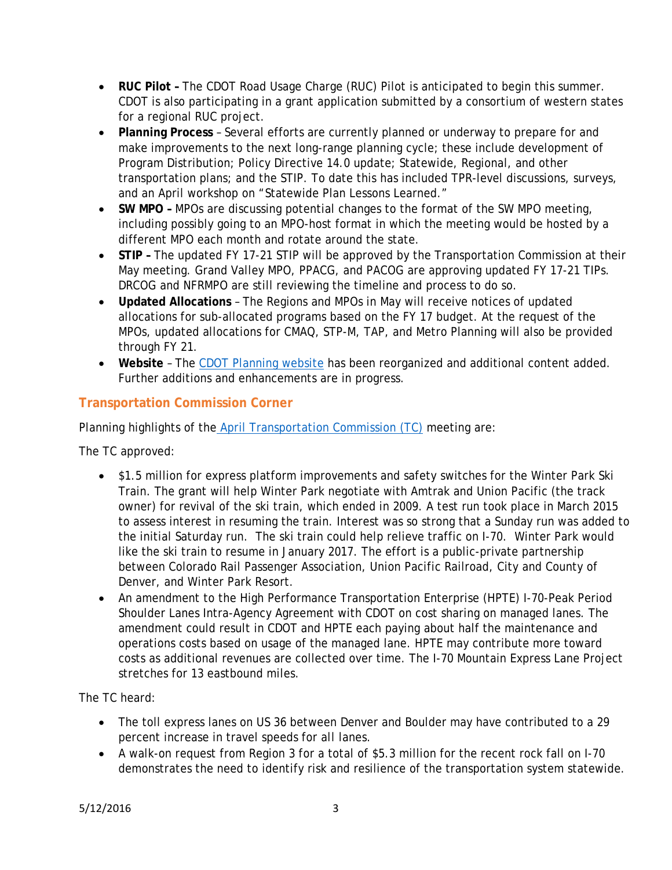- **RUC Pilot** The CDOT Road Usage Charge (RUC) Pilot is anticipated to begin this summer. CDOT is also participating in a grant application submitted by a consortium of western states for a regional RUC project.
- **Planning Process** Several efforts are currently planned or underway to prepare for and make improvements to the next long-range planning cycle; these include development of Program Distribution; Policy Directive 14.0 update; Statewide, Regional, and other transportation plans; and the STIP. To date this has included TPR-level discussions, surveys, and an April workshop on "Statewide Plan Lessons Learned."
- SW MPO MPOs are discussing potential changes to the format of the SW MPO meeting, including possibly going to an MPO-host format in which the meeting would be hosted by a different MPO each month and rotate around the state.
- **STIP** The updated FY 17-21 STIP will be approved by the Transportation Commission at their May meeting. Grand Valley MPO, PPACG, and PACOG are approving updated FY 17-21 TIPs. DRCOG and NFRMPO are still reviewing the timeline and process to do so.
- **Updated Allocations**  The Regions and MPOs in May will receive notices of updated allocations for sub-allocated programs based on the FY 17 budget. At the request of the MPOs, updated allocations for CMAQ, STP-M, TAP, and Metro Planning will also be provided through FY 21.
- **Website**  The CDOT Planning website has been reorganized and additional content added. Further additions and enhancements are in progress.

# **Transportation Commission Corner**

Planning highlights of the April Transportation Commission (TC) meeting are:

The TC approved:

- \$1.5 million for express platform improvements and safety switches for the Winter Park Ski Train. The grant will help Winter Park negotiate with Amtrak and Union Pacific (the track owner) for revival of the ski train, which ended in 2009. A test run took place in March 2015 to assess interest in resuming the train. Interest was so strong that a Sunday run was added to the initial Saturday run. The ski train could help relieve traffic on I-70. Winter Park would like the ski train to resume in January 2017. The effort is a public-private partnership between Colorado Rail Passenger Association, Union Pacific Railroad, City and County of Denver, and Winter Park Resort.
- An amendment to the High Performance Transportation Enterprise (HPTE) I-70-Peak Period Shoulder Lanes Intra-Agency Agreement with CDOT on cost sharing on managed lanes. The amendment could result in CDOT and HPTE each paying about half the maintenance and operations costs based on usage of the managed lane. HPTE may contribute more toward costs as additional revenues are collected over time. The I-70 Mountain Express Lane Project stretches for 13 eastbound miles.

The TC heard:

- The toll express lanes on US 36 between Denver and Boulder may have contributed to a 29 percent increase in travel speeds for *all* lanes.
- A walk-on request from Region 3 for a total of \$5.3 million for the recent rock fall on I-70 demonstrates the need to identify risk and resilience of the transportation system statewide.